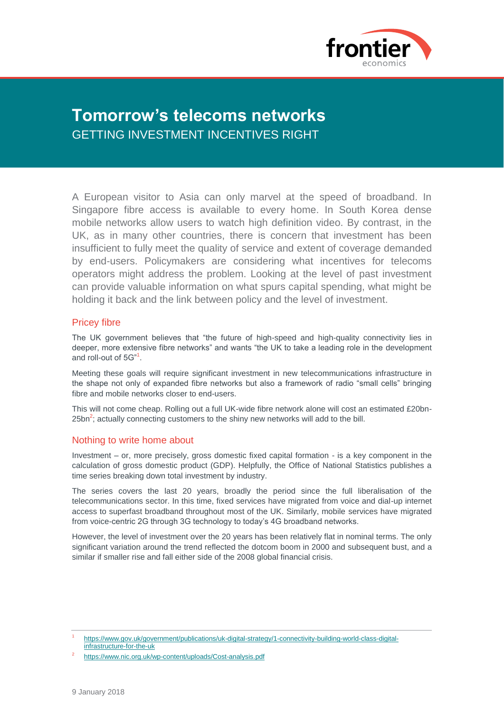

# **Tomorrow's telecoms networks** GETTING INVESTMENT INCENTIVES RIGHT

A European visitor to Asia can only marvel at the speed of broadband. In Singapore fibre access is available to every home. In South Korea dense mobile networks allow users to watch high definition video. By contrast, in the UK, as in many other countries, there is concern that investment has been insufficient to fully meet the quality of service and extent of coverage demanded by end-users. Policymakers are considering what incentives for telecoms operators might address the problem. Looking at the level of past investment can provide valuable information on what spurs capital spending, what might be holding it back and the link between policy and the level of investment.

## Pricey fibre

The UK government believes that "the future of high-speed and high-quality connectivity lies in deeper, more extensive fibre networks" and wants "the UK to take a leading role in the development and roll-out of 5G"<sup>1</sup>.

Meeting these goals will require significant investment in new telecommunications infrastructure in the shape not only of expanded fibre networks but also a framework of radio "small cells" bringing fibre and mobile networks closer to end-users.

This will not come cheap. Rolling out a full UK-wide fibre network alone will cost an estimated £20bn-25bn<sup>2</sup>; actually connecting customers to the shiny new networks will add to the bill.

# Nothing to write home about

Investment – or, more precisely, gross domestic fixed capital formation - is a key component in the calculation of gross domestic product (GDP). Helpfully, the Office of National Statistics publishes a time series breaking down total investment by industry.

The series covers the last 20 years, broadly the period since the full liberalisation of the telecommunications sector. In this time, fixed services have migrated from voice and dial-up internet access to superfast broadband throughout most of the UK. Similarly, mobile services have migrated from voice-centric 2G through 3G technology to today's 4G broadband networks.

However, the level of investment over the 20 years has been relatively flat in nominal terms. The only significant variation around the trend reflected the dotcom boom in 2000 and subsequent bust, and a similar if smaller rise and fall either side of the 2008 global financial crisis.

<sup>1</sup> [https://www.gov.uk/government/publications/uk-digital-strategy/1-connectivity-building-world-class-digital](https://www.gov.uk/government/publications/uk-digital-strategy/1-connectivity-building-world-class-digital-infrastructure-for-the-uk)[infrastructure-for-the-uk](https://www.gov.uk/government/publications/uk-digital-strategy/1-connectivity-building-world-class-digital-infrastructure-for-the-uk)

<sup>2</sup> <https://www.nic.org.uk/wp-content/uploads/Cost-analysis.pdf>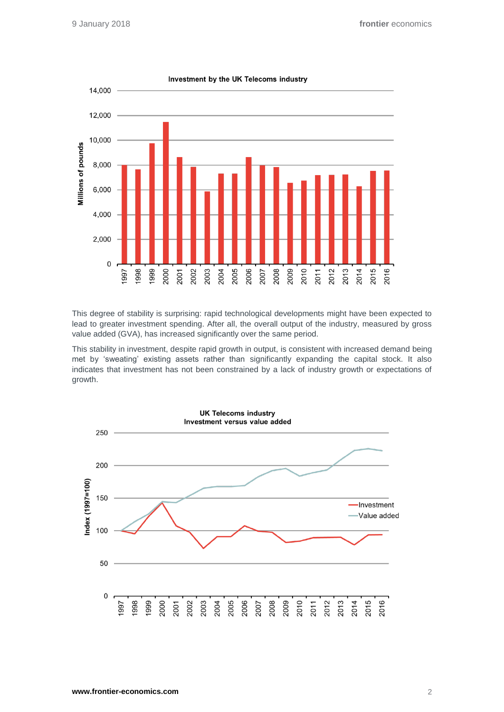

This degree of stability is surprising: rapid technological developments might have been expected to lead to greater investment spending. After all, the overall output of the industry, measured by gross value added (GVA), has increased significantly over the same period.

This stability in investment, despite rapid growth in output, is consistent with increased demand being met by 'sweating' existing assets rather than significantly expanding the capital stock. It also indicates that investment has not been constrained by a lack of industry growth or expectations of growth.



Investment by the UK Telecoms industry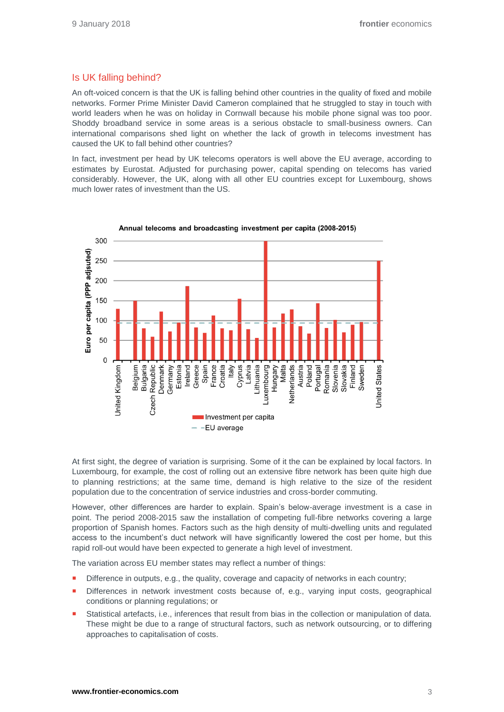# Is UK falling behind?

An oft-voiced concern is that the UK is falling behind other countries in the quality of fixed and mobile networks. Former Prime Minister David Cameron complained that he struggled to stay in touch with world leaders when he was on holiday in Cornwall because his mobile phone signal was too poor. Shoddy broadband service in some areas is a serious obstacle to small-business owners. Can international comparisons shed light on whether the lack of growth in telecoms investment has caused the UK to fall behind other countries?

In fact, investment per head by UK telecoms operators is well above the EU average, according to estimates by Eurostat. Adjusted for purchasing power, capital spending on telecoms has varied considerably. However, the UK, along with all other EU countries except for Luxembourg, shows much lower rates of investment than the US.



Annual telecoms and broadcasting investment per capita (2008-2015)

At first sight, the degree of variation is surprising. Some of it the can be explained by local factors. In Luxembourg, for example, the cost of rolling out an extensive fibre network has been quite high due to planning restrictions; at the same time, demand is high relative to the size of the resident population due to the concentration of service industries and cross-border commuting.

However, other differences are harder to explain. Spain's below-average investment is a case in point. The period 2008-2015 saw the installation of competing full-fibre networks covering a large proportion of Spanish homes. Factors such as the high density of multi-dwelling units and regulated access to the incumbent's duct network will have significantly lowered the cost per home, but this rapid roll-out would have been expected to generate a high level of investment.

The variation across EU member states may reflect a number of things:

- Difference in outputs, e.g., the quality, coverage and capacity of networks in each country;
- Differences in network investment costs because of, e.g., varying input costs, geographical conditions or planning regulations; or
- Statistical artefacts, i.e., inferences that result from bias in the collection or manipulation of data. These might be due to a range of structural factors, such as network outsourcing, or to differing approaches to capitalisation of costs.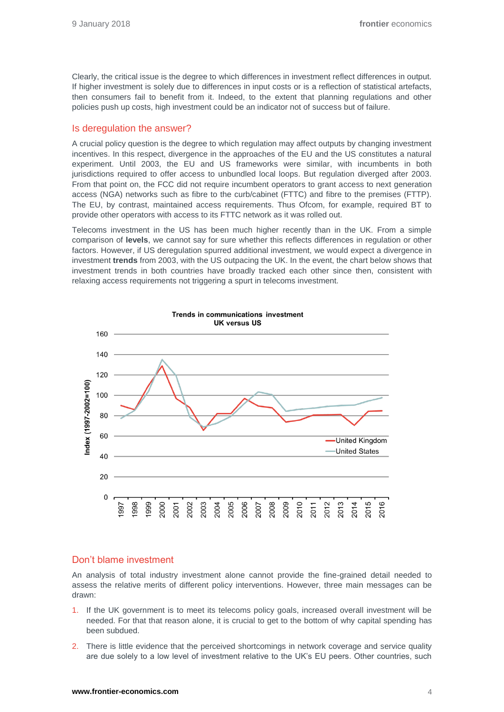Clearly, the critical issue is the degree to which differences in investment reflect differences in output. If higher investment is solely due to differences in input costs or is a reflection of statistical artefacts, then consumers fail to benefit from it. Indeed, to the extent that planning regulations and other policies push up costs, high investment could be an indicator not of success but of failure.

### Is deregulation the answer?

A crucial policy question is the degree to which regulation may affect outputs by changing investment incentives. In this respect, divergence in the approaches of the EU and the US constitutes a natural experiment. Until 2003, the EU and US frameworks were similar, with incumbents in both jurisdictions required to offer access to unbundled local loops. But regulation diverged after 2003. From that point on, the FCC did not require incumbent operators to grant access to next generation access (NGA) networks such as fibre to the curb/cabinet (FTTC) and fibre to the premises (FTTP). The EU, by contrast, maintained access requirements. Thus Ofcom, for example, required BT to provide other operators with access to its FTTC network as it was rolled out.

Telecoms investment in the US has been much higher recently than in the UK. From a simple comparison of **levels**, we cannot say for sure whether this reflects differences in regulation or other factors. However, if US deregulation spurred additional investment, we would expect a divergence in investment **trends** from 2003, with the US outpacing the UK. In the event, the chart below shows that investment trends in both countries have broadly tracked each other since then, consistent with relaxing access requirements not triggering a spurt in telecoms investment.



### Don't blame investment

An analysis of total industry investment alone cannot provide the fine-grained detail needed to assess the relative merits of different policy interventions. However, three main messages can be drawn:

- 1. If the UK government is to meet its telecoms policy goals, increased overall investment will be needed. For that that reason alone, it is crucial to get to the bottom of why capital spending has been subdued.
- 2. There is little evidence that the perceived shortcomings in network coverage and service quality are due solely to a low level of investment relative to the UK's EU peers. Other countries, such